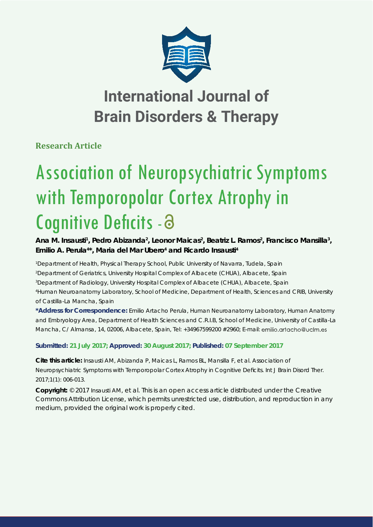

# **International Journal of Brain Disorders & Therapy**

**Research Article**

# Association of Neuropsychiatric Symptoms with Temporopolar Cortex Atrophy in Cognitive Deficits - 8

Ana M. Insausti<sup>1</sup>, Pedro Abizanda<sup>2</sup>, Leonor Maicas<sup>2</sup>, Beatriz L. Ramos<sup>2</sup>, Francisco Mansilla<sup>3</sup>, Emilio A. Perula<sup>4\*</sup>, Maria del Mar Ubero<sup>4</sup> and Ricardo Insausti<sup>4</sup>

 *Department of Health, Physical Therapy School, Public University of Navarra, Tudela, Spain Department of Geriatrics, University Hospital Complex of Albacete (CHUA), Albacete, Spain Department of Radiology, University Hospital Complex of Albacete (CHUA), Albacete, Spain Human Neuroanatomy Laboratory, School of Medicine, Department of Health, Sciences and CRIB, University of Castilla-La Mancha, Spain*

**\*Address for Correspondence:** Emilio Artacho Perula, Human Neuroanatomy Laboratory, Human Anatomy and Embryology Area, Department of Health Sciences and C.R.I.B, School of Medicine, University of Castilla-La Mancha, C/ Almansa, 14, 02006, Albacete, Spain, Tel: +34967599200 #2960; E-mail: emilio.artacho@uclm.es

**Submitted: 21 July 2017; Approved: 30 August 2017; Published: 07 September 2017**

**Cite this article:** Insausti AM, Abizanda P, Maicas L, Ramos BL, Mansilla F, et al. Association of Neuropsychiatric Symptoms with Temporopolar Cortex Atrophy in Cognitive Deficits. Int J Brain Disord Ther. 2017;1(1): 006-013.

**Copyright:** © 2017 Insausti AM, et al. This is an open access article distributed under the Creative Commons Attribution License, which permits unrestricted use, distribution, and reproduction in any medium, provided the original work is properly cited.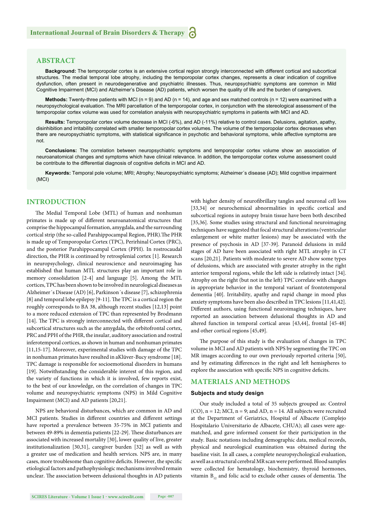## **ABSTRACT**

**Background:** The temporopolar cortex is an extensive cortical region strongly interconnected with different cortical and subcortical structures. The medial temporal lobe atrophy, including the temporopolar cortex changes, represents a clear indication of cognitive dysfunction, often present in neurodegenerative and psychiatric illnesses. Thus, neuropsychiatric symptoms are common in Mild Cognitive Impairment (MCI) and Alzheimer's Disease (AD) patients, which worsen the quality of life and the burden of caregivers.

**Methods:** Twenty-three patients with MCI (n = 9) and AD (n = 14), and age and sex matched controls (n = 12) were examined with a neuropsychological evaluation. The MRI parcellation of the temporopolar cortex, in conjunction with the stereological assessment of the temporopolar cortex volume was used for correlation analysis with neuropsychiatric symptoms in patients with MCI and AD.

**Results:** Temporopolar cortex volume decrease in MCI (-6%), and AD (-11%) relative to control cases. Delusions, agitation, apathy, disinhibition and irritability correlated with smaller temporopolar cortex volumes. The volume of the temporopolar cortex decreases when there are neuropsychiatric symptoms, with statistical significance in psychotic and behavioral symptoms, while affective symptoms are not.

**Conclusions:** The correlation between neuropsychiatric symptoms and temporopolar cortex volume show an association of neuroanatomical changes and symptoms which have clinical relevance. In addition, the temporopolar cortex volume assessment could be contribute to the differential diagnosis of cognitive deficits in MCI and AD.

**Keywords:** Temporal pole volume; MRI; Atrophy; Neuropsychiatric symptoms; Alzheimer´s disease (AD); Mild cognitive impairment (MCI)

### **INTRODUCTION**

The Medial Temporal Lobe (MTL) of human and nonhuman primates is made up of different neuroanatomical structures that comprise the hippocampal formation, amygdala, and the surrounding cortical strip (the so-called Parahippocampal Region, PHR). The PHR is made up of Temporopolar Cortex (TPC), Perirhinal Cortex (PRC), and the posterior Parahippocampal Cortex (PPH). In rostrocaudal direction, the PHR is continued by retrosplenial cortex [1]. Research in neuropsychology, clinical neuroscience and neuroimaging has established that human MTL structures play an important role in memory consolidation [2-4] and language [5]. Among the MTL cortices, TPC has been shown to be involved in neurological diseases as Alzheimer´s Disease (AD) [6], Parkinson´s disease [7], schizophrenia  $[8]$  and temporal lobe epilepsy  $[9-11]$ . The TPC is a cortical region the roughly corresponds to BA 38, although recent studies [12,13] point to a more reduced extension of TPC than represented by Brodmann [14]. The TPC is strongly interconnected with different cortical and subcortical structures such as the amygdala, the orbitofrontal cortex, PRC and PPH of the PHR, the insular, auditory association and rostral inferotemporal cortices, as shown in human and nonhuman primates [11,15-17]. Moreover, experimental studies with damage of the TPC in nonhuman primates have resulted in aKlüver-Bucy syndrome [18]. TPC damage is responsible for socioemotional disorders in humans [19]. Notwithstanding the considerable interest of this region, and the variety of functions in which it is involved, few reports exist, to the best of our knowledge, on the correlation of changes in TPC volume and neuropsychiatric symptoms (NPS) in Mild Cognitive Impairment (MCI) and AD patients [20,21].

NPS are behavioral disturbances, which are common in AD and MCI patients. Studies in different countries and different settings have reported a prevalence between 35-75% in MCI patients and between 49-89% in dementia patients [22-29]. These disturbances are associated with increased mortality [30], lower quality of live, greater institutionalization [30,31], caregiver burden [32] as well as with a greater use of medication and health services. NPS are, in many cases, more troublesome than cognitive deficits. However, the specific etiological factors and pathophysiologic mechanisms involved remain unclear. The association between delusional thoughts in AD patients

with higher density of neurofibrillary tangles and neuronal cell loss [33,34] or neurochemical abnormalities in specific cortical and subcortical regions in autopsy brain tissue have been both described [35,36]. Some studies using structural and functional neuroimaging techniques have suggested that focal structural alterations (ventricular enlargement or white matter lesions) may be associated with the presence of psychosis in AD [37-39]. Paranoid delusions in mild stages of AD have been associated with right MTL atrophy in CT scans [20,21]. Patients with moderate to severe AD show some types of delusions, which are associated with greater atrophy in the right anterior temporal regions, while the left side is relatively intact [34]. Atrophy on the right (but not in the left) TPC correlate with changes in appropriate behavior in the temporal variant of frontotemporal dementia [40]. Irritability, apathy and rapid change in mood plus anxiety symptoms have been also described in TPC lesions [11,41,42]. Different authors, using functional neuroimaging techniques, have reported an association between delusional thoughts in AD and altered function in temporal cortical areas [43,44], frontal [45-48] and other cortical regions [45,49].

The purpose of this study is the evaluation of changes in TPC volume in MCI and AD patients with NPS by segmenting the TPC on MR images according to our own previously reported criteria [50], and by estimating differences in the right and left hemispheres to explore the association with specific NPS in cognitive deficits.

# **MATERIALS AND METHODS**

#### **Subjects and study design**

 $(CO)$ ,  $n = 12$ ; MCI,  $n = 9$ ; and AD,  $n = 14$ . All subjects were recruited at the Department of Geriatrics, Hospital of Albacete (Complejo Hospitalario Universitario de Albacete, CHUA); all cases were agematched, and gave informed consent for their participation in the study. Basic notations including demographic data, medical records, physical and neurological examination was obtained during the baseline visit. In all cases, a complete neuropsychological evaluation, as well as a structural cerebral MR scan were performed. Blood samples were collected for hematology, biochemistry, thyroid hormones, vitamin  $B_{12}$  and folic acid to exclude other causes of dementia. The

Our study included a total of 35 subjects grouped as: Control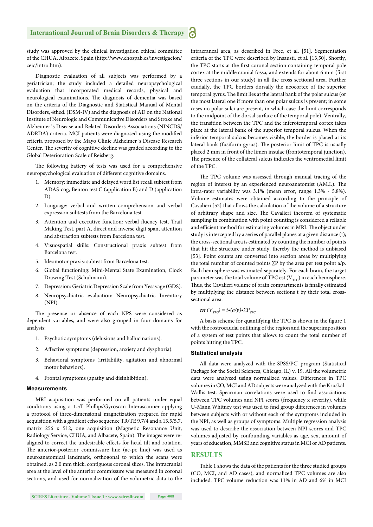study was approved by the clinical investigation ethical committee of the CHUA, Albacete, Spain (http://www.chospab.es/investigacion/ ceic/intro.htm).

Diagnostic evaluation of all subjects was performed by a geriatrician; the study included a detailed neuropsychological evaluation that incorporated medical records, physical and neurological examinations. The diagnosis of dementia was based on the criteria of the Diagnostic and Statistical Manual of Mental Disorders, 4thed. (DSM-IV) and the diagnosis of AD on the National Institute of Neurologic and Communicative Disorders and Stroke and Alzheimer´s Disease and Related Disorders Associations (NINCDS/ ADRDA) criteria. MCI patients were diagnosed using the modified criteria proposed by the Mayo Clinic Alzheimer´s Disease Research Center. The severity of cognitive decline was graded according to the Global Deterioration Scale of Reisberg.

The following battery of tests was used for a comprehensive neuropsychological evaluation of different cognitive domains.

- 1. Memory: immediate and delayed word list recall subtest from ADAS-cog, Benton test C (application B) and D (application D).
- 2. Language: verbal and written comprehension and verbal expression subtests from the Barcelona test.
- 3. Attention and executive function: verbal fluency test, Trail Making Test, part A, direct and inverse digit span, attention and abstraction subtests from Barcelona test.
- 4. Visuospatial skills: Constructional praxis subtest from Barcelona test.
- 5. Ideomotor praxis: subtest from Barcelona test.
- 6. Global functioning: Mini-Mental State Examination, Clock Drawing Test (Schulmann).
- 7. Depression: Geriatric Depression Scale from Yesavage (GDS).
- 8. Neuropsychiatric evaluation: Neuropsychiatric Inventory (NPI).

The presence or absence of each NPS were considered as dependent variables, and were also grouped in four domains for analysis:

- 1. Psychotic symptoms (delusions and hallucinations).
- 2. Affective symptoms (depression, anxiety and dysphoria).
- 3. Behavioral symptoms (irritability, agitation and abnormal motor behaviors).
- 4. Frontal symptoms (apathy and disinhibition).

#### **Measurements**

MRI acquisition was performed on all patients under equal conditions using a 1.5T Phillips'Gyroscan Interascanner applying a protocol of three-dimensional magnetization prepared for rapid acquisition with a gradient echo sequence TR/TE 9.7/4 and a 13.5/5.7, matrix 256 x 512, one acquisition (Magnetic Resonance Unit, Radiology Service, CHUA, and Albacete, Spain). The images were realigned to correct the undesirable effects for head tilt and rotation. The anterior-posterior commissure line (ac-pc line) was used as neuroanatomical landmark, orthogonal to which the scans were obtained, as 2.0 mm thick, contiguous coronal slices. The intracranial area at the level of the anterior commissure was measured in coronal sections, and used for normalization of the volumetric data to the

intracraneal area, as described in Free, et al. [51]. Segmentation criteria of the TPC were described by Insausti, et al. [13,50]. Shortly, the TPC starts at the first coronal section containing temporal pole cortex at the middle cranial fossa, and extends for about 6 mm (first three sections in our study) in all the cross sectional area. Further caudally, the TPC borders dorsally the neocortex of the superior temporal gyrus. The limit lies at the lateral bank of the polar sulcus (or the most lateral one if more than one polar sulcus is present; in some cases no polar sulci are present, in which case the limit corresponds to the midpoint of the dorsal surface of the temporal pole). Ventrally, the transition between the TPC and the inferotemporal cortex takes place at the lateral bank of the superior temporal sulcus. When the inferior temporal sulcus becomes visible, the border is placed at its lateral bank (fusiform gyrus). The posterior limit of TPC is usually placed 2 mm in front of the limen insulae (frontotemporal junction). The presence of the collateral sulcus indicates the ventromedial limit of the TPC.

The TPC volume was assessed through manual tracing of the region of interest by an experienced neuroanatomist (AM.I.). The intra-rater variability was 3.1% (mean error, range 1.3% - 5.8%). Volume estimates were obtained according to the principle of Cavalieri [52] that allows the calculation of the volume of a structure of arbitrary shape and size. The Cavalieri theorem of systematic sampling in combination with point counting is considered a reliable and efficient method for estimating volumes in MRI. The object under study is intercepted by a series of parallel planes at a given distance (t); the cross-sectional area is estimated by counting the number of points that hit the structure under study, thereby the method is unbiased [53]. Point counts are converted into section areas by multiplying the total number of counted points  $\Sigma$ P by the area per test point a/p. Each hemisphere was estimated separately. For each brain, the target parameter was the total volume of TPC est  $(V_{TPC})$  in each hemisphere. Thus, the Cavalieri volume of brain compartments is finally estimated by multiplying the distance between sections t by their total crosssectional area:

*est*  $(V_{TPC}) = t \cdot (a/p) \cdot \sum P_{TPC}$ 

A basis scheme for quantifying the TPC is shown in the figure 1 with the rostrocaudal outlining of the region and the superimposition of a system of test points that allows to count the total number of points hitting the TPC.

#### **Statistical analysis**

All data were analyzed with the SPSS/PC<sup>®</sup> program (Statistical Package for the Social Sciences, Chicago, IL) v. 19. All the volumetric data were analyzed using normalized values. Differences in TPC volumes in CO, MCI and AD subjects were analyzed with the Kruskal-Wallis test. Spearman correlations were used to find associations between TPC volumes and NPI scores (frequency x severity), while U-Mann Whitney test was used to find group differences in volumes between subjects with or without each of the symptoms included in the NPI, as well as groups of symptoms. Multiple regression analysis was used to describe the association between NPI scores and TPC volumes adjusted by confounding variables as age, sex, amount of years of education, MMSE and cognitive status in MCI or AD patients.

#### **RESULTS**

Table 1 shows the data of the patients for the three studied groups (CO, MCI, and AD cases), and normalized TPC volumes are also included. TPC volume reduction was 11% in AD and 6% in MCI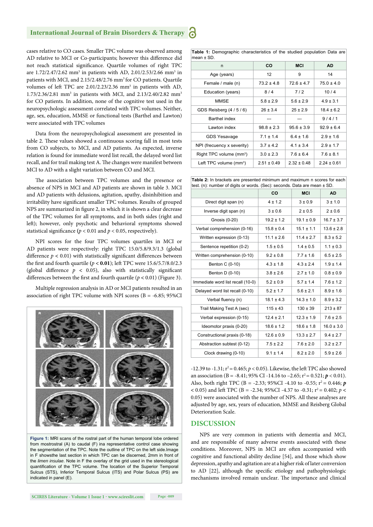cases relative to CO cases. Smaller TPC volume was observed among AD relative to MCI or Co-participants; however this difference did not reach statistical significance. Quartile volumes of right TPC are 1.72/2.47/2.62 mm<sup>3</sup> in patients with AD, 2.01/2.53/2.66 mm<sup>3</sup> in patients with MCI, and 2.15/2.48/2.76 mm<sup>3</sup> for CO patients. Quartile volumes of left TPC are 2.01/2.23/2.36 mm<sup>3</sup> in patients with AD, 1.73/2.36/2.81 mm<sup>3</sup> in patients with MCI, and 2.13/2.40/2.82 mm<sup>3</sup> for CO patients. In addition, none of the cognitive test used in the neuropsychologic assessment correlated with TPC volumes. Neither, age, sex, education, MMSE or functional tests (Barthel and Lawton) were associated with TPC volumes

Data from the neuropsychological assessment are presented in table 2. These values showed a continuous scoring fall in most tests from CO subjects, to MCI, and AD patients. As expected, inverse relation is found for immediate word list recall, the delayed word list recall, and for trail making test A. The changes were manifest between MCI to AD with a slight variation between CO and MCI.

The association between TPC volumes and the presence or absence of NPS in MCI and AD patients are shown in table 3. MCI and AD patients with delusions, agitation, apathy, disinhibition and irritability have significant smaller TPC volumes. Results of grouped NPS are summarized in figure 2, in which it is shown a clear decrease of the TPC volumes for all symptoms, and in both sides (right and left); however, only psychotic and behavioral symptoms showed statistical significance ( $p < 0.01$  and  $p < 0.05$ , respectively).

NPI scores for the four TPC volumes quartiles in MCI or AD patients were respectively: right TPC 15.0/5.8/9.3/1.3 (global difference  $p < 0.01$ ) with statistically significant differences between the first and fourth quartile  $(p < 0.01)$ ; left TPC were 15.6/5.7/8.0/2.3 (global difference  $p \leq 0.05$ ), also with statistically significant differences between the first and fourth quartile  $(p < 0.01)$  (Figure 3).

Multiple regression analysis in AD or MCI patients resulted in an association of right TPC volume with NPI scores (B = -6.85; 95%CI



**Figure 1:** MRI scans of the rostral part of the human temporal lobe ordered from mostrostral (A) to caudal (F) ina representative control case showing the segmentation of the TPC. Note the outline of TPC on the left side.Image in F showsthe last section in which TPC can be discerned, 2mm in front of the *limen insulae*. Note in F the overlay of the grid used in the stereological quantification of the TPC volume. The location of the Superior Temporal Sulcus (STS), Inferior Temporal Sulcus (ITS) and Polar Sulcus (PS) are indicated in panel (E).

**Table 1:** Demographic characteristics of the studied population Data are  $mean + SD$ 

| n                                   | <b>CO</b>       | <b>MCI</b>      | <b>AD</b>       |
|-------------------------------------|-----------------|-----------------|-----------------|
| Age (years)                         | 12              | 9               | 14              |
| Female / male (n)                   | $73.2 \pm 4.8$  | $72.6 \pm 4.7$  | $75.0 \pm 4.0$  |
| Education (years)                   | 8/4             | 7/2             | 10/4            |
| MMSE                                | $5.8 \pm 2.9$   | $5.6 \pm 2.9$   | $4.9 \pm 3.1$   |
| GDS Reisberg (4/5/6)                | $26 \pm 3.4$    | $25 \pm 2.9$    | $18.4 \pm 6.2$  |
| Barthel index                       |                 |                 | 9/4/1           |
| Lawton index                        | $98.8 \pm 2.3$  | $95.6 \pm 3.9$  | $92.9 \pm 6.4$  |
| <b>GDS Yesavage</b>                 | $7.1 \pm 1.4$   | $6.4 \pm 1.6$   | $2.9 \pm 1.6$   |
| NPI (frecuency x severity)          | $37 + 42$       | $4.1 \pm 3.4$   | $2.9 \pm 1.7$   |
| Right TPC volume (mm <sup>3</sup> ) | $3.0 \pm 2.3$   | $7.6 \pm 6.4$   | $7.6 \pm 8.1$   |
| Left TPC volume (mm <sup>3</sup> )  | $2.51 \pm 0.49$ | $2.32 \pm 0.48$ | $2.24 \pm 0.61$ |

| Table 2: In brackets are presented minimum and maximum n scores for each<br>test. (n): number of digits or words. (Sec): seconds. Data are mean ± SD. |                |                |                |  |  |  |  |
|-------------------------------------------------------------------------------------------------------------------------------------------------------|----------------|----------------|----------------|--|--|--|--|
|                                                                                                                                                       | CO             | <b>MCI</b>     | AD.            |  |  |  |  |
| Direct digit span (n)                                                                                                                                 | $4 \pm 1.2$    | $3 \pm 0.9$    | $3 + 1.0$      |  |  |  |  |
| Inverse digit span (n)                                                                                                                                | $3 \pm 0.6$    | $2 \pm 0.5$    | $2 \pm 0.6$    |  |  |  |  |
| Gnosis (0-20)                                                                                                                                         | $19.2 \pm 1.2$ | $19.1 \pm 0.9$ | $16.7 \pm 3.7$ |  |  |  |  |
| Verbal comprehension (0-16)                                                                                                                           | $15.8 \pm 0.4$ | $15.1 \pm 1.1$ | $13.6 \pm 2.8$ |  |  |  |  |
| Written expression (0-13)                                                                                                                             | $11.1 \pm 2.6$ | $114 + 27$     | $8.3 \pm 5.2$  |  |  |  |  |
| Sentence repetition (0-2)                                                                                                                             | $1.5 \pm 0.5$  | $1.4 \pm 0.5$  | $1.1 \pm 0.3$  |  |  |  |  |
| Written comprehension (0-10)                                                                                                                          | $9.2 \pm 0.8$  | $7.7 \pm 1.6$  | $6.5 \pm 2.5$  |  |  |  |  |
| Benton C (0-10)                                                                                                                                       | $4.3 \pm 1.8$  | $43 + 24$      | $1.9 \pm 1.4$  |  |  |  |  |
| Benton D (0-10)                                                                                                                                       | $3.8 \pm 2.6$  | $2.7 \pm 1.0$  | $0.8 \pm 0.9$  |  |  |  |  |
| Immediate word list recall (10-0)                                                                                                                     | $5.2 \pm 0.9$  | $5.7 \pm 1.4$  | $7.6 \pm 1.2$  |  |  |  |  |
| Delayed word list recall (0-10)                                                                                                                       | $5.2 \pm 1.7$  | $5.6 \pm 2.1$  | $8.9 \pm 1.6$  |  |  |  |  |
| Verbal fluency (n)                                                                                                                                    | $18.1 \pm 4.3$ | $14.3 \pm 1.0$ | $8.9 \pm 3.2$  |  |  |  |  |
| Trail Making Test A (sec)                                                                                                                             | $115 \pm 43$   | $130 \pm 39$   | $213 \pm 87$   |  |  |  |  |
| Verbal expression (0-15)                                                                                                                              | $12.4 \pm 2.1$ | $12.3 \pm 1.9$ | $7.6 \pm 2.5$  |  |  |  |  |
| Ideomotor praxis (0-20)                                                                                                                               | $18.6 \pm 1.2$ | $18.6 \pm 1.8$ | $16.0 \pm 3.0$ |  |  |  |  |
| Constructional praxis (0-18)                                                                                                                          | $12.6 \pm 0.9$ | $13.3 \pm 2.7$ | $9.4 \pm 2.7$  |  |  |  |  |
| Abstraction subtest (0-12)                                                                                                                            | $7.5 \pm 2.2$  | $7.6 \pm 2.0$  | $3.2 \pm 2.7$  |  |  |  |  |
| Clock drawing (0-10)                                                                                                                                  | $9.1 \pm 1.4$  | $8.2 \pm 2.0$  | $5.9 \pm 2.6$  |  |  |  |  |

 $-12.39$  to  $-1.31$ ;  $r^2 = 0.465$ ;  $p < 0.05$ ). Likewise, the left TPC also showed an association (B = -8.41; 95% CI -14.16 to -2.65;  $r^2 = 0.521$ ;  $p < 0.01$ ). Also, both right TPC (B = -2.33; 95%CI -4.10 to -0.55;  $r^2 = 0.446$ ; *p*  $(6.005)$  and left TPC (B = -2.34; 95%CI -4.37 to -0.31;  $r^2 = 0.402$ ;  $p <$ 0.05) were associated with the number of NPS. All these analyses are adjusted by age, sex, years of education, MMSE and Reisberg Global Deterioration Scale.

#### **DISCUSSION**

NPS are very common in patients with dementia and MCI, and are responsible of many adverse events associated with these conditions. Moreover, NPS in MCI are often accompanied with cognitive and functional ability decline [54], and those which show depression, apathy and agitation are at a higher risk of later conversion to AD [22], although the specific etiology and pathophysiologic mechanisms involved remain unclear. The importance and clinical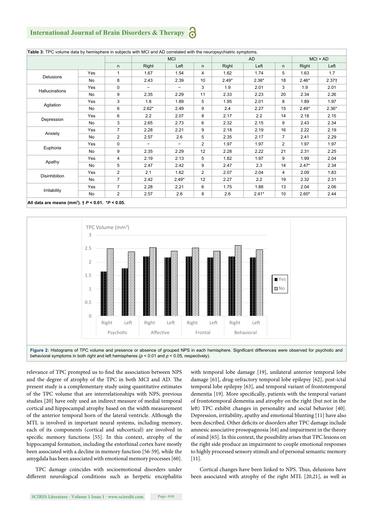# **International Journal of Brain Disorders & Therapy**

|                |     |                |                          | <b>MCI</b> |                | AD      |         |                | $MCI + AD$ |         |
|----------------|-----|----------------|--------------------------|------------|----------------|---------|---------|----------------|------------|---------|
|                |     | n              | Right                    | Left       | n.             | Right   | Left    | n.             | Right      | Left    |
| Delusions      | Yes | 1              | 1.67                     | 1.54       | 4              | 1.62    | 1.74    | 5              | 1.63       | 1.7     |
|                | No  | 8              | 2.43                     | 2.39       | 10             | $2.49*$ | $2.36*$ | 18             | $2.46*$    | $2.37+$ |
| Hallucinations | Yes | $\Omega$       | $\overline{\phantom{a}}$ | -          | 3              | 1.9     | 2.01    | 3              | 1.9        | 2.01    |
|                | No  | 9              | 2.35                     | 2.29       | 11             | 2.33    | 2.23    | 20             | 2.34       | 2.26    |
| Agitation      | Yes | 3              | 1.8                      | 1.89       | 5              | 1.95    | 2.01    | 8              | 1.89       | 1.97    |
|                | No  | 6              | $2.62*$                  | 2.49       | 9              | 2.4     | 2.27    | 15             | $2.49*$    | $2.36*$ |
| Depression     | Yes | 6              | 2.2                      | 2.07       | 8              | 2.17    | 2.2     | 14             | 2.18       | 2.15    |
|                | No  | 3              | 2.65                     | 2.73       | 6              | 2.32    | 2.15    | 9              | 2.43       | 2.34    |
| Anxiety        | Yes | $\overline{7}$ | 2.28                     | 2.21       | 9              | 2.18    | 2.19    | 16             | 2.22       | 2.19    |
|                | No  | 2              | 2.57                     | 2.6        | 5              | 2.35    | 2.17    | $\overline{7}$ | 2.41       | 2.29    |
| Euphoria       | Yes | $\mathbf 0$    | $\overline{\phantom{a}}$ | -          | $\overline{2}$ | 1.97    | 1.97    | $\overline{2}$ | 1.97       | 1.97    |
|                | No  | 9              | 2.35                     | 2.29       | 12             | 2.28    | 2.22    | 21             | 2.31       | 2.25    |
| Apathy         | Yes | 4              | 2.19                     | 2.13       | 5              | 1.82    | 1.97    | 9              | 1.99       | 2.04    |
|                | No  | 5              | 2.47                     | 2.42       | 9              | 2.47    | 2.3     | 14             | $2.47*$    | 2.34    |
| Disinhibition  | Yes | $\overline{2}$ | 2.1                      | 1.62       | $\overline{2}$ | 2.07    | 2.04    | 4              | 2.09       | 1.83    |
|                | No  | $\overline{7}$ | 2.42                     | $2.49*$    | 12             | 2.27    | 2.2     | 19             | 2.32       | 2.31    |
| Irritability   | Yes | $\overline{7}$ | 2.28                     | 2.21       | 6              | 1.75    | 1.88    | 13             | 2.04       | 2.06    |
|                | No  | $\overline{2}$ | 2.57                     | 2.6        | 8              | 2.6     | $2.41*$ | 10             | $2.60*$    | 2.44    |

**All data are means (mm3 ). †** *P* **< 0.01. \****P* **< 0.05.**





relevance of TPC prompted us to find the association between NPS and the degree of atrophy of the TPC in both MCI and AD. The present study is a complementary study using quantitative estimates of the TPC volume that are interrelationships with NPS; previous studies [20] have only used an indirect measure of medial temporal cortical and hippocampal atrophy based on the width measurement of the anterior temporal horn of the lateral ventricle. Although the MTL is involved in important neural systems, including memory, each of its components (cortical and subcortical) are involved in specific memory functions [55]. In this context, atrophy of the hippocampal formation, including the entorhinal cortex have mostly been associated with a decline in memory function [56-59], while the amygdala has been associated with emotional memory processes [60].

TPC damage coincides with socioemotional disorders under different neurological conditions such as herpetic encephalitis

with temporal lobe damage [19], unilateral anterior temporal lobe damage [61], drug-refractory temporal lobe epilepsy [62], post-ictal temporal lobe epilepsy [63], and temporal variant of frontotemporal dementia [19]. More specifically, patients with the temporal variant of frontotemporal dementia and atrophy on the right (but not in the left) TPC exhibit changes in personality and social behavior [40]. Depression, irritability, apathy and emotional blunting [11] have also been described. Other deficits or disorders after TPC damage include amnesic associative prosopagnosia [64] and impairment in the theory of mind [65]. In this context, the possibility arises that TPC lesions on the right side produce an impairment to couple emotional responses to highly processed sensory stimuli and of personal semantic memory  $[11]$ .

Cortical changes have been linked to NPS. Thus, delusions have been associated with atrophy of the right MTL [20,21], as well as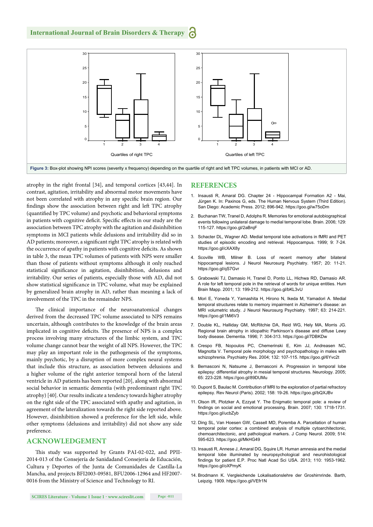

atrophy in the right frontal [34], and temporal cortices [43,44]. In contrast, agitation, irritability and abnormal motor movements have not been correlated with atrophy in any specific brain region. Our findings show the association between right and left TPC atrophy (quantified by TPC volume) and psychotic and behavioral symptoms in patients with cognitive deficit. Specific effects in our study are the association between TPC atrophy with the agitation and disinhibition symptoms in MCI patients while delusions and irritability did so in AD patients; moreover, a significant right TPC atrophy is related with the occurrence of apathy in patients with cognitive deficits. As shown in table 3, the mean TPC volumes of patients with NPS were smaller than those of patients without symptoms although it only reached statistical significance in agitation, disinhibition, delusions and irritability. Our series of patients, especially those with AD, did not show statistical significance in TPC volume, what may be explained by generalized brain atrophy in AD, rather than meaning a lack of involvement of the TPC in the remainder NPS.

The clinical importance of the neuroanatomical changes derived from the decreased TPC volume associated to NPS remains uncertain, although contributes to the knowledge of the brain areas implicated in cognitive deficits. The presence of NPS is a complex process involving many structures of the limbic system, and TPC volume change cannot bear the weight of all NPS. However, the TPC may play an important role in the pathogenesis of the symptoms, mainly psychotic, by a disruption of more complex neural systems that include this structure, as association between delusions and a higher volume of the right anterior temporal horn of the lateral ventricle in AD patients has been reported [20], along with abnormal social behavior in semantic dementia (with predominant right TPC atrophy) [40]. Our results indicate a tendency towards higher atrophy on the right side of the TPC associated with apathy and agitation, in agreement of the lateralization towards the right side reported above. However, disinhibition showed a preference for the left side, while other symptoms (delusions and irritability) did not show any side preference.

# **ACKNOWLEDGEMENT**

This study was supported by Grants PAI-02-022, and PPII-2014-013 of the Consejería de Sanidadand Consejería de Educación, Cultura y Deportes of the Junta de Comunidades de Castilla-La Mancha, and projects BFI2003-09581, BFU2006-12964 and HF2007- 0016 from the Ministry of Science and Technology to RI.

#### **REFERENCES**

- 1. Insausti R, Amaral DG. Chapter 24 Hippocampal Formation A2 Mai, Jürgen K. In: Paxinos G, eds. The Human Nervous System (Third Edition). San Diego: Academic Press. 2012; 896-942. https://goo.gl/w75oDm
- 2. Buchanan TW, Tranel D, Adolphs R. Memories for emotional autobiographical events following unilateral damage to medial temporal lobe. Brain. 2006; 129: 115-127. https://goo.gl/2aBrqF
- 3. Schacter DL, Wagner AD. Medial temporal lobe activations in fMRI and PET studies of episodic encoding and retrieval. Hippocampus. 1999; 9: 7-24. https://goo.gl/cXAX8y
- 4. Scoville WB, Milner B. Loss of recent memory after bilateral hippocampal lesions. J Neurol Neurosurg Psychiatry. 1957; 20: 11-21. https://goo.gl/qS7Gvr
- 5. Grabowski TJ, Damasio H, Tranel D, Ponto LL, Hichwa RD, Damasio AR. A role for left temporal pole in the retrieval of words for unique entities. Hum Brain Mapp. 2001; 13: 199-212. https://goo.gl/bKL3vU
- 6. Mori E, Yoneda Y, Yamashita H, Hirono N, Ikeda M, Yamadori A. Medial temporal structures relate to memory impairment in Alzheimer's disease: an MRI volumetric study. J Neurol Neurosurg Psychiatry. 1997; 63: 214-221. https://goo.gl/1Mi6V3
- 7. Double KL, Halliday GM, McRitchie DA, Reid WG, Hely MA, Morris JG. Regional brain atrophy in idiopathic Parkinson's disease and diffuse Lewy body disease. Dementia. 1996; 7: 304-313. https://goo.gl/7DBKDw
- 8. Crespo FB, Nopoulos PC, Chemerinski E, Kim JJ, Andreasen NC, Magnotta V. Temporal pole morphology and psychopathology in males with schizophrenia. Psychiatry Res. 2004; 132; 107-115. https://goo.gl/6Yvc2t
- 9. Bernasconi N, Natsume J, Bernasconi A. Progression in temporal lobe epilepsy: differential atrophy in mesial temporal structures. Neurology. 2005; 65: 223-228. https://goo.gl/89DUMu
- 10. Dupont S, Baulac M. Contribution of MRI to the exploration of partial refractory epilepsy. Rev Neurol (Paris). 2002; 158: 19-26. https://goo.gl/bQXJBv
- 11. Olson IR, Plotzker A, Ezzyat Y. The Enigmatic temporal pole: a review of findings on social and emotional processing. Brain. 2007; 130: 1718-1731. https://goo.gl/ucbZyb
- 12. Ding SL, Van Hoesen GW, Cassell MD, Poremba A. Parcellation of human temporal polar cortex: a combined analysis of multiple cytoarchitectonic, chemoarchitectonic, and pathological markers. J Comp Neurol. 2009; 514: 595-623. https://goo.gl/MkHG49
- 13. Insausti R, Annese J, Amaral DG, Squire LR. Human amnesia and the medial temporal lobe illuminated by neuropsychological and neurohistological findings for patient E.P. Proc Natl Acad Sci USA. 2013; 110: 1953-1962. https://goo.gl/oXPmyK
- 14. Brodmann K. Vergleichende Lokalisationslehre der Groshirnrinde. Barth, Leipzig. 1909. https://goo.gl/VEfr1N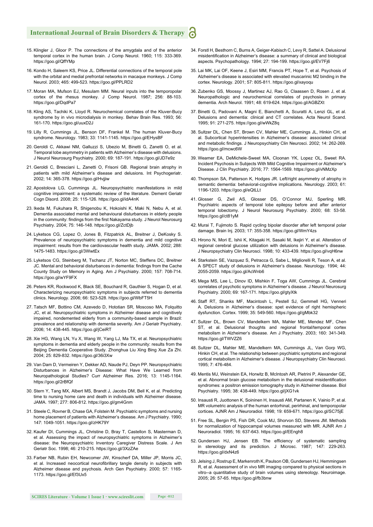- 15. Klingler J, Gloor P. The connections of the amygdala and of the anterior temporal cortex in the human brain. J Comp Neurol. 1960; 115: 333-369. https://goo.gl/QffYMp
- 16. Kondo H, Saleem KS, Price JL. Differential connections of the temporal pole with the orbital and medial prefrontal networks in macaque monkeys. J Comp Neurol. 2003; 465: 499-523. https://goo.gl/PPLRD2
- 17. Moran MA, Mufson EJ, Mesulam MM. Neural inputs into the temporopolar cortex of the rhesus monkey. J Comp Neurol. 1987; 256: 88-103. https://goo.gl/DqdPa7
- 18. Kling AS, Tachiki K, Lloyd R. Neurochemical correlates of the Kluver-Bucy syndrome by in vivo microdialysis in monkey. Behav Brain Res. 1993; 56: 161-170. https://goo.gl/uuxD2J
- 19. Lilly R, Cummings JL, Benson DF, Frankel M. The human Kluver-Bucy syndrome. Neurology. 1983; 33: 1141-1145. https://goo.gl/EHysBF
- 20. Geroldi C, Akkawi NM, Galluzzi S, Ubezio M, Binetti G, Zanetti O, et al. Temporal lobe asymmetry in patients with Alzheimer's disease with delusions. J Neurol Neurosurg Psychiatry. 2000; 69: 187-191. https://goo.gl/JD7e9z
- 21. Geroldi C, Bresciani L, Zanetti O, Frisoni GB. Regional brain atrophy in patients with mild Alzheimer's disease and delusions. Int Psychogeriatr. 2002; 14: 365-378. https://goo.gl/Hvjjiw
- 22. Apostolova LG, Cummings JL. Neuropsychiatric manifestations in mild cognitive impairment: a systematic review of the literature. Dement Geriatr Cogn Disord. 2008; 25: 115-126. https://goo.gl/idA4nK
- 23. Ikeda M, Fukuhara R, Shigenobu K, Hokoishi K, Maki N, Nebu A, et al. Dementia associated mental and behavioural disturbances in elderly people in the community: findings from the first Nakayama study. J Neurol Neurosurg Psychiatry. 2004; 75: 146-148. https://goo.gl/ZctDjb
- 24. Lyketsos CG, Lopez O, Jones B, Fitzpatrick AL, Breitner J, DeKosky S. Prevalence of neuropsychiatric symptoms in dementia and mild cognitive impairment: results from the cardiovascular health study. JAMA. 2002; 288: 1475-1483. https://goo.gl/3WwtEx
- 25. Lyketsos CG, Steinberg M, Tschanz JT, Norton MC, Steffens DC, Breitner JC. Mental and behavioral disturbances in dementia: findings from the Cache County Study on Memory in Aging. Am J Psychiatry. 2000; 157: 708-714. https://goo.gl/wYF9FX
- 26. Peters KR, Rockwood K, Black SE, Bouchard R, Gauthier S, Hogan D, et al. Characterizing neuropsychiatric symptoms in subjects referred to dementia clinics. Neurology. 2006; 66: 523-528. https://goo.gl/WbFT5H
- 27. Tatsch MF, Bottino CM, Azevedo D, Hototian SR, Moscoso MA, Folquitto JC, et al. Neuropsychiatric symptoms in Alzheimer disease and cognitively impaired, nondemented elderly from a community-based sample in Brazil: prevalence and relationship with dementia severity. Am J Geriatr Psychiatry. 2006; 14: 438-445. https://goo.gl/jCeiRT
- 28. Xie HG, Wang LN, Yu X, Wang W, Yang LJ, Ma TX, et al. Neuropsychiatric symptoms in dementia and elderly people in the community: results from the Beijing Dementia Cooperative Study. Zhonghua Liu Xing Bing Xue Za Zhi. 2004; 25: 829-832. https://goo.gl/36i3Xw
- 29. Van Dam D, Vermeiren Y, Dekker AD, Naude PJ, Deyn PP. Neuropsychiatric Disturbances in Alzheimer's Disease: What Have We Learned from Neuropathological Studies? Curr Alzheimer Res. 2016; 13: 1145-1164. https://goo.gl/2rBfQf
- 30. Stern Y, Tang MX, Albert MS, Brandt J, Jacobs DM, Bell K, et al. Predicting time to nursing home care and death in individuals with Alzheimer disease. JAMA. 1997; 277: 806-812. https://goo.gl/gm4Gnm
- 31. Steele C, Rovner B, Chase GA, Folstein M. Psychiatric symptoms and nursing home placement of patients with Alzheimer's disease. Am J Psychiatry. 1990; 147: 1049-1051. https://goo.gl/zHK79Y
- 32. Kaufer DI, Cummings JL, Christine D, Bray T, Castellon S, Masterman D, et al. Assessing the impact of neuropsychiatric symptoms in Alzheimer's disease: the Neuropsychiatric Inventory Caregiver Distress Scale. J Am Geriatr Soc. 1998; 46: 210-215. https://goo.gl/3XzZAe
- 33. Farber NB, Rubin EH, Newcomer JW, Kinscherf DA, Miller JP, Morris JC, et al. Increased neocortical neurofibrillary tangle density in subjects with Alzheimer disease and psychosis. Arch Gen Psychiatry. 2000; 57: 1165- 1173. https://goo.gl/Ef3Ux5
- 34. Forstl H, Besthorn C, Burns A, Geiger-Kabisch C, Levy R, Sattel A. Delusional misidentification in Alzheimer's disease: a summary of clinical and biological aspects. Psychopathology. 1994; 27: 194-199. https://goo.gl/EV7Fj6
- 35. Lai MK, Lai OF, Keene J, Esiri MM, Francis PT, Hope T, et al. Psychosis of Alzheimer's disease is associated with elevated muscarinic M2 binding in the cortex. Neurology. 2001; 57: 805-811. https://goo.gl/xayoqu
- 36. Zubenko GS, Moossy J, Martinez AJ, Rao G, Claassen D, Rosen J, et al. Neuropathologic and neurochemical correlates of psychosis in primary dementia. Arch Neurol. 1991; 48: 619-624. https://goo.gl/AGBZXt
- 37. Binetti G, Padovani A, Magni E, Bianchetti A, Scuratti A, Lenzi GL, et al. Delusions and dementia: clinical and CT correlates. Acta Neurol Scand. 1995; 91: 271-275. https://goo.gl/wWkZ8q
- 38. Sultzer DL, Chen ST, Brown CV, Mahler ME, Cummings JL, Hinkin CH, et al. Subcortical hyperintensities in Alzheimer's disease: associated clinical and metabolic findings. J Neuropsychiatry Clin Neurosci. 2002; 14: 262-269. https://goo.gl/mcwc6W
- 39. Weamer EA, DeMichele-Sweet MA, Cloonan YK, Lopez OL, Sweet RA. Incident Psychosis in Subjects With Mild Cognitive Impairment or Alzheimer's Disease. J Clin Psychiatry. 2016; 77: 1564-1569. https://goo.gl/vNMzXp
- 40. Thompson SA, Patterson K, Hodges JR. Left/right asymmetry of atrophy in semantic dementia: behavioral-cognitive implications. Neurology. 2003; 61: 1196-1203. https://goo.gl/eQtLLt
- 41. Glosser G, Zwil AS, Glosser DS, O'Connor MJ, Sperling MR. Psychiatric aspects of temporal lobe epilepsy before and after anterior temporal lobectomy. J Neurol Neurosurg Psychiatry. 2000; 68: 53-58. https://goo.gl/ct81yM
- 42. Murai T, Fujimoto S. Rapid cycling bipolar disorder after left temporal polar damage. Brain Inj. 2003; 17: 355-358. https://goo.gl/WmY4zs
- 43. Hirono N, Mori E, Ishii K, Kitagaki H, Sasaki M, Ikejiri Y, et al. Alteration of regional cerebral glucose utilization with delusions in Alzheimer's disease. J Neuropsychiatry Clin Neurosci. 1998; 10: 433-439. https://goo.gl/vqH6nw
- 44. Starkstein SE, Vazquez S, Petracca G, Sabe L, Migliorelli R, Teson A, et al. A SPECT study of delusions in Alzheimer's disease. Neurology. 1994; 44: 2055-2059. https://goo.gl/AcWnb6
- 45. Mega MS, Lee L, Dinov ID, Mishkin F, Toga AW, Cummings JL. Cerebral correlates of psychotic symptoms in Alzheimer's disease. J Neurol Neurosurg Psychiatry. 2000; 69: 167-171. https://goo.gl/gtyXtk
- 46. Staff RT, Shanks MF, Macintosh L, Pestell SJ, Gemmell HG, Venneri A. Delusions in Alzheimer's disease: spet evidence of right hemispheric dysfunction. Cortex. 1999; 35: 549-560. https://goo.gl/gMbk32
- 47. Sultzer DL, Brown CV, Mandelkern MA, Mahler ME, Mendez MF, Chen ST, et al. Delusional thoughts and regional frontal/temporal cortex metabolism in Alzheimer's disease. Am J Psychiatry. 2003; 160: 341-349. https://goo.gl/TWVZZ6
- 48. Sultzer DL, Mahler ME, Mandelkern MA, Cummings JL, Van Gorp WG, Hinkin CH, et al. The relationship between psychiatric symptoms and regional cortical metabolism in Alzheimer's disease. J Neuropsychiatry Clin Neurosci. 1995; 7: 476-484.
- 49. Mentis MJ, Weinstein EA, Horwitz B, McIntosh AR, Pietrini P, Alexander GE, et al. Abnormal brain glucose metabolism in the delusional misidentification syndromes: a positron emission tomography study in Alzheimer disease. Biol Psychiatry. 1995; 38: 438-449. https://goo.gl/jXG1vk
- 50. Insausti R, Juottonen K, Soininen H, Insausti AM, Partanen K, Vainio P, et al. MR volumetric analysis of the human entorhinal, perirhinal, and temporopolar cortices. AJNR Am J Neuroradiol. 1998; 19: 659-671. https://goo.gl/SC75jE
- 51. Free SL, Bergin PS, Fish DR, Cook MJ, Shorvon SD, Stevens JM. Methods for normalization of hippocampal volumes measured with MR. AJNR Am J Neuroradiol. 1995; 16: 637-643. https://goo.gl/EEngh8
- 52. Gundersen HJ, Jensen EB. The efficiency of systematic sampling in stereology and its prediction. J Microsc. 1987; 147: 229-263. https://goo.gl/dxN4z6
- 53. Jelsing J, Rostrup E, Markenroth K, Paulson OB, Gundersen HJ, Hemmingsen R, et al. Assessment of in vivo MR imaging compared to physical sections in vitro--a quantitative study of brain volumes using stereology. Neuroimage. 2005; 26: 57-65. https://goo.gl/fb3bnw